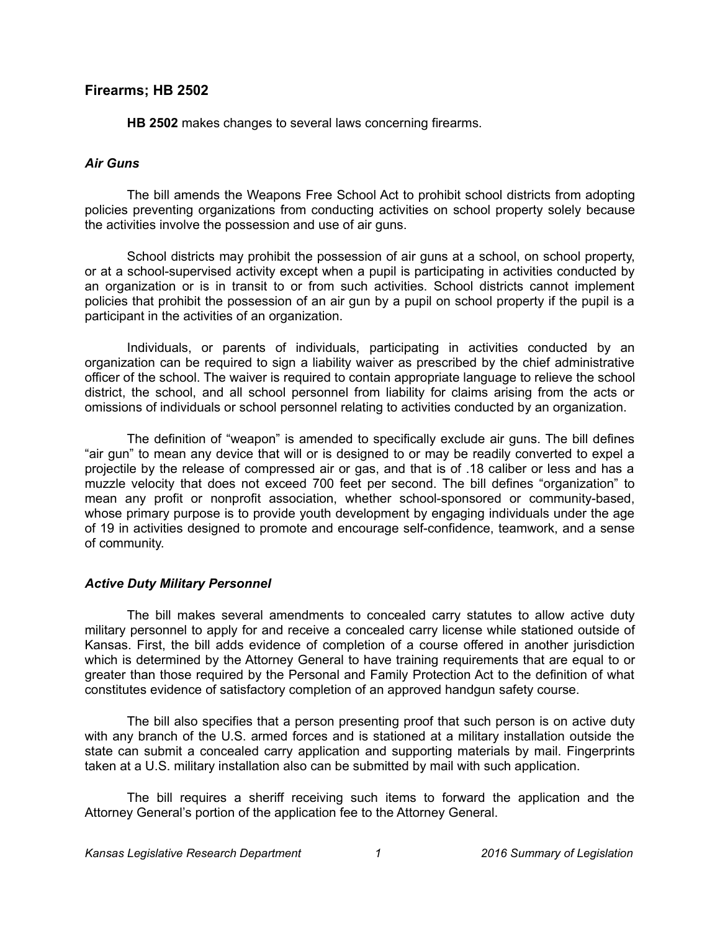# **Firearms; HB 2502**

**HB 2502** makes changes to several laws concerning firearms.

## *Air Guns*

The bill amends the Weapons Free School Act to prohibit school districts from adopting policies preventing organizations from conducting activities on school property solely because the activities involve the possession and use of air guns.

School districts may prohibit the possession of air guns at a school, on school property, or at a school-supervised activity except when a pupil is participating in activities conducted by an organization or is in transit to or from such activities. School districts cannot implement policies that prohibit the possession of an air gun by a pupil on school property if the pupil is a participant in the activities of an organization.

Individuals, or parents of individuals, participating in activities conducted by an organization can be required to sign a liability waiver as prescribed by the chief administrative officer of the school. The waiver is required to contain appropriate language to relieve the school district, the school, and all school personnel from liability for claims arising from the acts or omissions of individuals or school personnel relating to activities conducted by an organization.

The definition of "weapon" is amended to specifically exclude air guns. The bill defines "air gun" to mean any device that will or is designed to or may be readily converted to expel a projectile by the release of compressed air or gas, and that is of .18 caliber or less and has a muzzle velocity that does not exceed 700 feet per second. The bill defines "organization" to mean any profit or nonprofit association, whether school-sponsored or community-based, whose primary purpose is to provide youth development by engaging individuals under the age of 19 in activities designed to promote and encourage self-confidence, teamwork, and a sense of community.

## *Active Duty Military Personnel*

The bill makes several amendments to concealed carry statutes to allow active duty military personnel to apply for and receive a concealed carry license while stationed outside of Kansas. First, the bill adds evidence of completion of a course offered in another jurisdiction which is determined by the Attorney General to have training requirements that are equal to or greater than those required by the Personal and Family Protection Act to the definition of what constitutes evidence of satisfactory completion of an approved handgun safety course.

The bill also specifies that a person presenting proof that such person is on active duty with any branch of the U.S. armed forces and is stationed at a military installation outside the state can submit a concealed carry application and supporting materials by mail. Fingerprints taken at a U.S. military installation also can be submitted by mail with such application.

The bill requires a sheriff receiving such items to forward the application and the Attorney General's portion of the application fee to the Attorney General.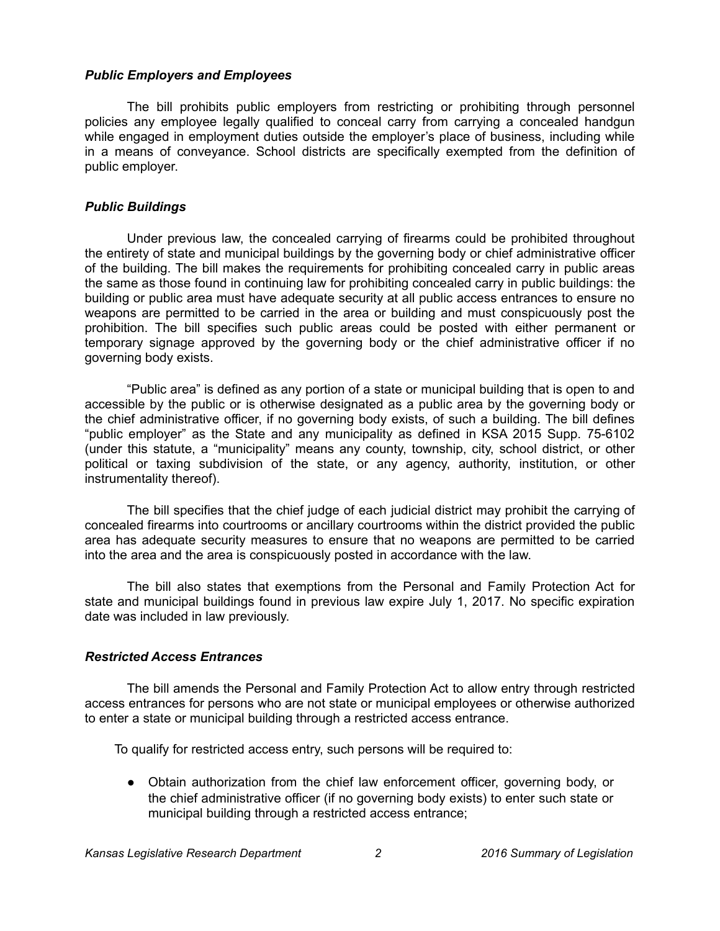### *Public Employers and Employees*

The bill prohibits public employers from restricting or prohibiting through personnel policies any employee legally qualified to conceal carry from carrying a concealed handgun while engaged in employment duties outside the employer's place of business, including while in a means of conveyance. School districts are specifically exempted from the definition of public employer.

# *Public Buildings*

Under previous law, the concealed carrying of firearms could be prohibited throughout the entirety of state and municipal buildings by the governing body or chief administrative officer of the building. The bill makes the requirements for prohibiting concealed carry in public areas the same as those found in continuing law for prohibiting concealed carry in public buildings: the building or public area must have adequate security at all public access entrances to ensure no weapons are permitted to be carried in the area or building and must conspicuously post the prohibition. The bill specifies such public areas could be posted with either permanent or temporary signage approved by the governing body or the chief administrative officer if no governing body exists.

"Public area" is defined as any portion of a state or municipal building that is open to and accessible by the public or is otherwise designated as a public area by the governing body or the chief administrative officer, if no governing body exists, of such a building. The bill defines "public employer" as the State and any municipality as defined in KSA 2015 Supp. 75-6102 (under this statute, a "municipality" means any county, township, city, school district, or other political or taxing subdivision of the state, or any agency, authority, institution, or other instrumentality thereof).

The bill specifies that the chief judge of each judicial district may prohibit the carrying of concealed firearms into courtrooms or ancillary courtrooms within the district provided the public area has adequate security measures to ensure that no weapons are permitted to be carried into the area and the area is conspicuously posted in accordance with the law.

The bill also states that exemptions from the Personal and Family Protection Act for state and municipal buildings found in previous law expire July 1, 2017. No specific expiration date was included in law previously.

## *Restricted Access Entrances*

The bill amends the Personal and Family Protection Act to allow entry through restricted access entrances for persons who are not state or municipal employees or otherwise authorized to enter a state or municipal building through a restricted access entrance.

To qualify for restricted access entry, such persons will be required to:

• Obtain authorization from the chief law enforcement officer, governing body, or the chief administrative officer (if no governing body exists) to enter such state or municipal building through a restricted access entrance;